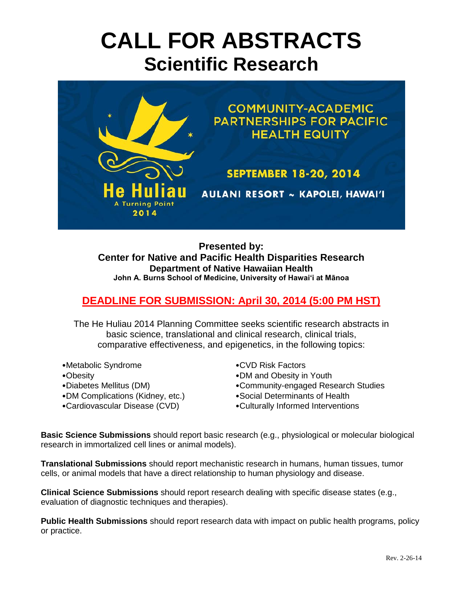# **CALL FOR ABSTRACTS Scientific Research**



**Presented by: Center for Native and Pacific Health Disparities Research Department of Native Hawaiian Health John A. Burns School of Medicine, University of Hawai'i at Mānoa**

# **DEADLINE FOR SUBMISSION: April 30, 2014 (5:00 PM HST)**

The He Huliau 2014 Planning Committee seeks scientific research abstracts in basic science, translational and clinical research, clinical trials, comparative effectiveness, and epigenetics, in the following topics:

- •Metabolic Syndrome •CVD Risk Factors
- 
- 
- •DM Complications (Kidney, etc.) •Social Determinants of Health
- 
- 
- •Obesity •DM and Obesity in Youth
- •Diabetes Mellitus (DM) •Community-engaged Research Studies
	-
- •Cardiovascular Disease (CVD) •Culturally Informed Interventions

**Basic Science Submissions** should report basic research (e.g., physiological or molecular biological research in immortalized cell lines or animal models).

**Translational Submissions** should report mechanistic research in humans, human tissues, tumor cells, or animal models that have a direct relationship to human physiology and disease.

**Clinical Science Submissions** should report research dealing with specific disease states (e.g., evaluation of diagnostic techniques and therapies).

**Public Health Submissions** should report research data with impact on public health programs, policy or practice.